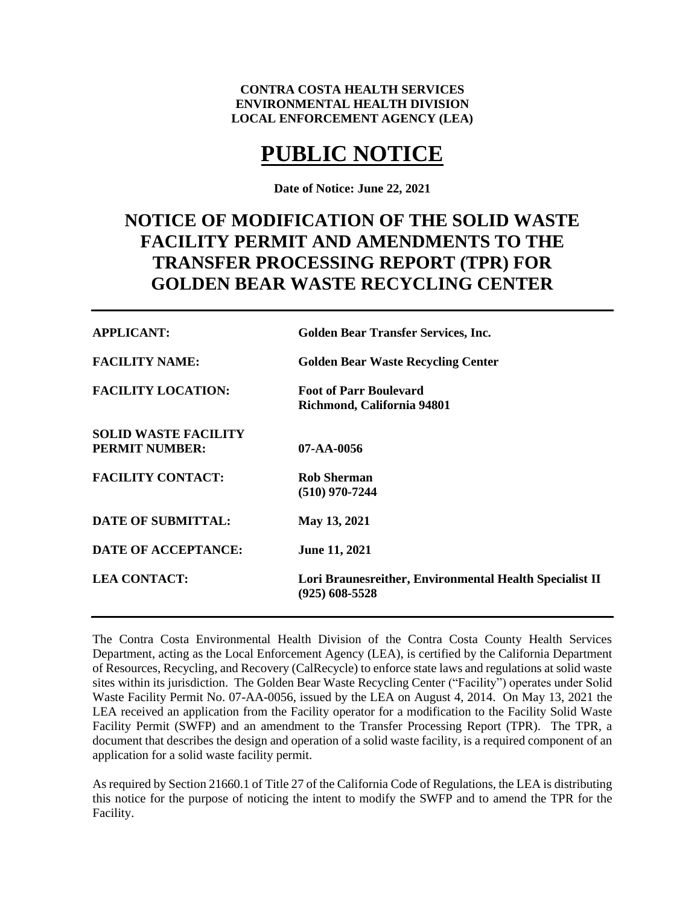# **CONTRA COSTA HEALTH SERVICES ENVIRONMENTAL HEALTH DIVISION LOCAL ENFORCEMENT AGENCY (LEA)**

# **PUBLIC NOTICE**

**Date of Notice: June 22, 2021**

# **NOTICE OF MODIFICATION OF THE SOLID WASTE FACILITY PERMIT AND AMENDMENTS TO THE TRANSFER PROCESSING REPORT (TPR) FOR GOLDEN BEAR WASTE RECYCLING CENTER**

| <b>APPLICANT:</b>                                    | <b>Golden Bear Transfer Services, Inc.</b>                                  |
|------------------------------------------------------|-----------------------------------------------------------------------------|
| <b>FACILITY NAME:</b>                                | <b>Golden Bear Waste Recycling Center</b>                                   |
| <b>FACILITY LOCATION:</b>                            | <b>Foot of Parr Boulevard</b><br>Richmond, California 94801                 |
| <b>SOLID WASTE FACILITY</b><br><b>PERMIT NUMBER:</b> | $07 - AA - 0056$                                                            |
| <b>FACILITY CONTACT:</b>                             | <b>Rob Sherman</b><br>$(510)$ 970-7244                                      |
| <b>DATE OF SUBMITTAL:</b>                            | May 13, 2021                                                                |
| <b>DATE OF ACCEPTANCE:</b>                           | <b>June 11, 2021</b>                                                        |
| <b>LEA CONTACT:</b>                                  | Lori Braunesreither, Environmental Health Specialist II<br>$(925)$ 608-5528 |

The Contra Costa Environmental Health Division of the Contra Costa County Health Services Department, acting as the Local Enforcement Agency (LEA), is certified by the California Department of Resources, Recycling, and Recovery (CalRecycle) to enforce state laws and regulations at solid waste sites within its jurisdiction. The Golden Bear Waste Recycling Center ("Facility") operates under Solid Waste Facility Permit No. 07-AA-0056, issued by the LEA on August 4, 2014. On May 13, 2021 the LEA received an application from the Facility operator for a modification to the Facility Solid Waste Facility Permit (SWFP) and an amendment to the Transfer Processing Report (TPR). The TPR, a document that describes the design and operation of a solid waste facility, is a required component of an application for a solid waste facility permit.

As required by Section 21660.1 of Title 27 of the California Code of Regulations, the LEA is distributing this notice for the purpose of noticing the intent to modify the SWFP and to amend the TPR for the Facility.